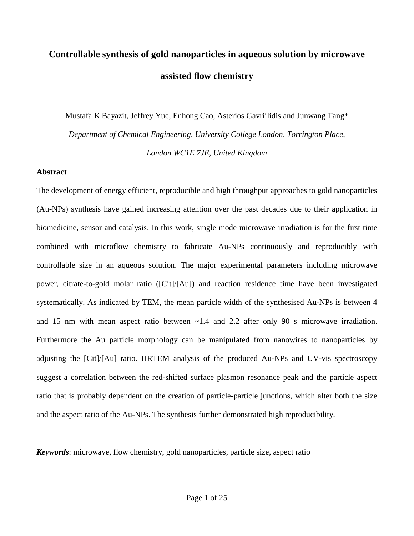# **Controllable synthesis of gold nanoparticles in aqueous solution by microwave assisted flow chemistry**

Mustafa K Bayazit, Jeffrey Yue, Enhong Cao, Asterios Gavriilidis and Junwang Tang\*

*Department of Chemical Engineering, University College London, Torrington Place, London WC1E 7JE, United Kingdom*

## **Abstract**

The development of energy efficient, reproducible and high throughput approaches to gold nanoparticles (Au-NPs) synthesis have gained increasing attention over the past decades due to their application in biomedicine, sensor and catalysis. In this work, single mode microwave irradiation is for the first time combined with microflow chemistry to fabricate Au-NPs continuously and reproducibly with controllable size in an aqueous solution. The major experimental parameters including microwave power, citrate-to-gold molar ratio ([Cit]/[Au]) and reaction residence time have been investigated systematically. As indicated by TEM, the mean particle width of the synthesised Au-NPs is between 4 and 15 nm with mean aspect ratio between ~1.4 and 2.2 after only 90 s microwave irradiation. Furthermore the Au particle morphology can be manipulated from nanowires to nanoparticles by adjusting the [Cit]/[Au] ratio. HRTEM analysis of the produced Au-NPs and UV-vis spectroscopy suggest a correlation between the red-shifted surface plasmon resonance peak and the particle aspect ratio that is probably dependent on the creation of particle-particle junctions, which alter both the size and the aspect ratio of the Au-NPs. The synthesis further demonstrated high reproducibility.

*Keywords*: microwave, flow chemistry, gold nanoparticles, particle size, aspect ratio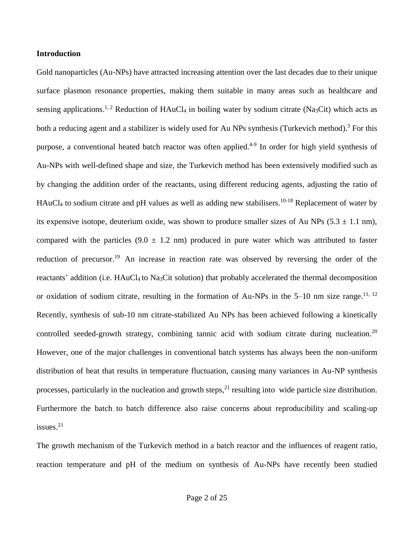#### **Introduction**

Gold nanoparticles (Au-NPs) have attracted increasing attention over the last decades due to their unique surface plasmon resonance properties, making them suitable in many areas such as healthcare and sensing applications.<sup>1, 2</sup> Reduction of HAuCl<sub>4</sub> in boiling water by sodium citrate (Na<sub>3</sub>Cit) which acts as both a reducing agent and a stabilizer is widely used for Au NPs synthesis (Turkevich method).<sup>3</sup> For this purpose, a conventional heated batch reactor was often applied.<sup>4-9</sup> In order for high yield synthesis of Au-NPs with well-defined shape and size, the Turkevich method has been extensively modified such as by changing the addition order of the reactants, using different reducing agents, adjusting the ratio of HAuCl<sub>4</sub> to sodium citrate and pH values as well as adding new stabilisers.<sup>10-18</sup> Replacement of water by its expensive isotope, deuterium oxide, was shown to produce smaller sizes of Au NPs (5.3  $\pm$  1.1 nm), compared with the particles  $(9.0 \pm 1.2 \text{ nm})$  produced in pure water which was attributed to faster reduction of precursor.<sup>19</sup> An increase in reaction rate was observed by reversing the order of the reactants' addition (i.e. HAuCl<sub>4</sub> to Na<sub>3</sub>Cit solution) that probably accelerated the thermal decomposition or oxidation of sodium citrate, resulting in the formation of Au-NPs in the  $5-10$  nm size range.<sup>11, 12</sup> Recently, synthesis of sub-10 nm citrate-stabilized Au NPs has been achieved following a kinetically controlled seeded-growth strategy, combining tannic acid with sodium citrate during nucleation.<sup>20</sup> However, one of the major challenges in conventional batch systems has always been the non-uniform distribution of heat that results in temperature fluctuation, causing many variances in Au-NP synthesis processes, particularly in the nucleation and growth steps,<sup>21</sup> resulting into wide particle size distribution. Furthermore the batch to batch difference also raise concerns about reproducibility and scaling-up issues. $21$ 

The growth mechanism of the Turkevich method in a batch reactor and the influences of reagent ratio, reaction temperature and pH of the medium on synthesis of Au-NPs have recently been studied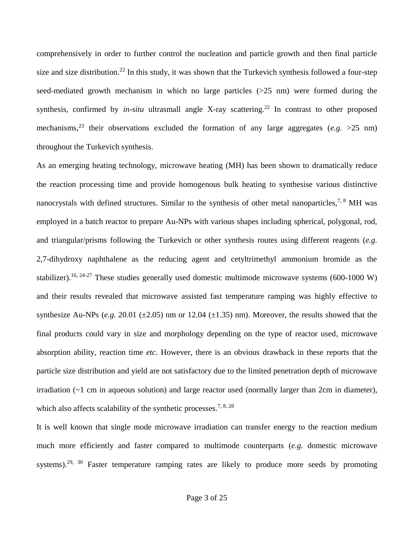comprehensively in order to further control the nucleation and particle growth and then final particle size and size distribution.<sup>22</sup> In this study, it was shown that the Turkevich synthesis followed a four-step seed-mediated growth mechanism in which no large particles (>25 nm) were formed during the synthesis, confirmed by *in-situ* ultrasmall angle X-ray scattering.<sup>22</sup> In contrast to other proposed mechanisms,  $23$  their observations excluded the formation of any large aggregates (*e.g.*  $>25$  nm) throughout the Turkevich synthesis.

As an emerging heating technology, microwave heating (MH) has been shown to dramatically reduce the reaction processing time and provide homogenous bulk heating to synthesise various distinctive nanocrystals with defined structures. Similar to the synthesis of other metal nanoparticles,<sup>7, 8</sup> MH was employed in a batch reactor to prepare Au-NPs with various shapes including spherical, polygonal, rod, and triangular/prisms following the Turkevich or other synthesis routes using different reagents (*e.g.* 2,7-dihydroxy naphthalene as the reducing agent and cetyltrimethyl ammonium bromide as the stabilizer).<sup>16, 24-27</sup> These studies generally used domestic multimode microwave systems (600-1000 W) and their results revealed that microwave assisted fast temperature ramping was highly effective to synthesize Au-NPs (*e.g.* 20.01 ( $\pm$ 2.05) nm or 12.04 ( $\pm$ 1.35) nm). Moreover, the results showed that the final products could vary in size and morphology depending on the type of reactor used, microwave absorption ability, reaction time *etc*. However, there is an obvious drawback in these reports that the particle size distribution and yield are not satisfactory due to the limited penetration depth of microwave irradiation (~1 cm in aqueous solution) and large reactor used (normally larger than 2cm in diameter), which also affects scalability of the synthetic processes.<sup>7, 8, 28</sup>

It is well known that single mode microwave irradiation can transfer energy to the reaction medium much more efficiently and faster compared to multimode counterparts (*e.g.* domestic microwave systems).<sup>29, 30</sup> Faster temperature ramping rates are likely to produce more seeds by promoting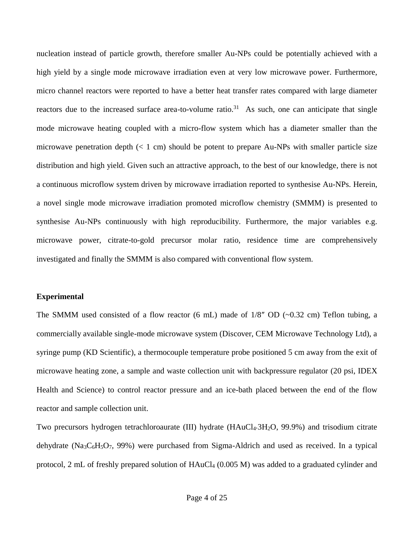nucleation instead of particle growth, therefore smaller Au-NPs could be potentially achieved with a high yield by a single mode microwave irradiation even at very low microwave power. Furthermore, micro channel reactors were reported to have a better heat transfer rates compared with large diameter reactors due to the increased surface area-to-volume ratio.<sup>31</sup> As such, one can anticipate that single mode microwave heating coupled with a micro-flow system which has a diameter smaller than the microwave penetration depth  $(< 1 \text{ cm})$  should be potent to prepare Au-NPs with smaller particle size distribution and high yield. Given such an attractive approach, to the best of our knowledge, there is not a continuous microflow system driven by microwave irradiation reported to synthesise Au-NPs. Herein, a novel single mode microwave irradiation promoted microflow chemistry (SMMM) is presented to synthesise Au-NPs continuously with high reproducibility. Furthermore, the major variables e.g. microwave power, citrate-to-gold precursor molar ratio, residence time are comprehensively investigated and finally the SMMM is also compared with conventional flow system.

#### **Experimental**

The SMMM used consisted of a flow reactor (6 mL) made of  $1/8$ " OD ( $-0.32$  cm) Teflon tubing, a commercially available single-mode microwave system (Discover, CEM Microwave Technology Ltd), a syringe pump (KD Scientific), a thermocouple temperature probe positioned 5 cm away from the exit of microwave heating zone, a sample and waste collection unit with backpressure regulator (20 psi, IDEX Health and Science) to control reactor pressure and an ice-bath placed between the end of the flow reactor and sample collection unit.

Two precursors hydrogen tetrachloroaurate (III) hydrate (HAuCl<sub>4</sub>.3H<sub>2</sub>O, 99.9%) and trisodium citrate dehydrate (Na<sub>3</sub>C<sub>6</sub>H<sub>5</sub>O<sub>7</sub>, 99%) were purchased from Sigma-Aldrich and used as received. In a typical protocol, 2 mL of freshly prepared solution of HAuCl<sub>4</sub> (0.005 M) was added to a graduated cylinder and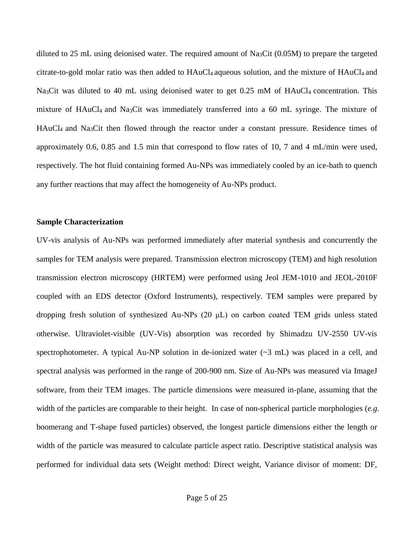diluted to 25 mL using deionised water. The required amount of Na3Cit (0.05M) to prepare the targeted citrate-to-gold molar ratio was then added to HAuCl<sub>4</sub> aqueous solution, and the mixture of HAuCl<sub>4</sub> and Na<sub>3</sub>Cit was diluted to 40 mL using deionised water to get  $0.25$  mM of HAuCl<sub>4</sub> concentration. This mixture of HAuCl<sub>4</sub> and Na<sub>3</sub>Cit was immediately transferred into a 60 mL syringe. The mixture of HAuCl4 and Na3Cit then flowed through the reactor under a constant pressure. Residence times of approximately 0.6, 0.85 and 1.5 min that correspond to flow rates of 10, 7 and 4 mL/min were used, respectively. The hot fluid containing formed Au-NPs was immediately cooled by an ice-bath to quench any further reactions that may affect the homogeneity of Au-NPs product.

#### **Sample Characterization**

UV-vis analysis of Au-NPs was performed immediately after material synthesis and concurrently the samples for TEM analysis were prepared. Transmission electron microscopy (TEM) and high resolution transmission electron microscopy (HRTEM) were performed using Jeol JEM-1010 and JEOL-2010F coupled with an EDS detector (Oxford Instruments), respectively. TEM samples were prepared by dropping fresh solution of synthesized Au-NPs (20 μL) on carbon coated TEM grids unless stated otherwise. Ultraviolet-visible (UV-Vis) absorption was recorded by Shimadzu UV-2550 UV-vis spectrophotometer. A typical Au-NP solution in de-ionized water (~3 mL) was placed in a cell, and spectral analysis was performed in the range of 200-900 nm. Size of Au-NPs was measured via ImageJ software, from their TEM images. The particle dimensions were measured in-plane, assuming that the width of the particles are comparable to their height. In case of non-spherical particle morphologies (*e.g.* boomerang and T-shape fused particles) observed, the longest particle dimensions either the length or width of the particle was measured to calculate particle aspect ratio. Descriptive statistical analysis was performed for individual data sets (Weight method: Direct weight, Variance divisor of moment: DF,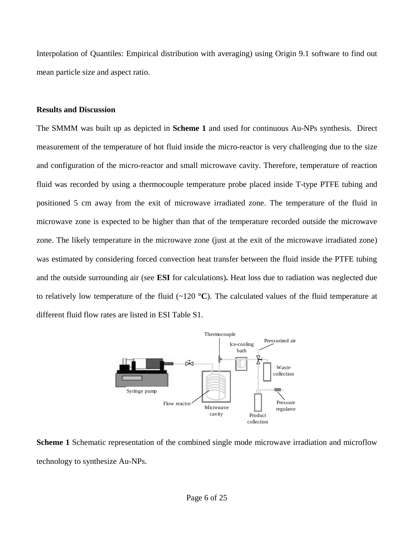Interpolation of Quantiles: Empirical distribution with averaging) using Origin 9.1 software to find out mean particle size and aspect ratio.

### **Results and Discussion**

The SMMM was built up as depicted in **Scheme 1** and used for continuous Au-NPs synthesis. Direct measurement of the temperature of hot fluid inside the micro-reactor is very challenging due to the size and configuration of the micro-reactor and small microwave cavity. Therefore, temperature of reaction fluid was recorded by using a thermocouple temperature probe placed inside T-type PTFE tubing and positioned 5 cm away from the exit of microwave irradiated zone. The temperature of the fluid in microwave zone is expected to be higher than that of the temperature recorded outside the microwave zone. The likely temperature in the microwave zone (just at the exit of the microwave irradiated zone) was estimated by considering forced convection heat transfer between the fluid inside the PTFE tubing and the outside surrounding air (see **ESI** for calculations)**.** Heat loss due to radiation was neglected due to relatively low temperature of the fluid (~120 **°C**). The calculated values of the fluid temperature at different fluid flow rates are listed in ESI Table S1.



**Scheme 1** Schematic representation of the combined single mode microwave irradiation and microflow technology to synthesize Au-NPs.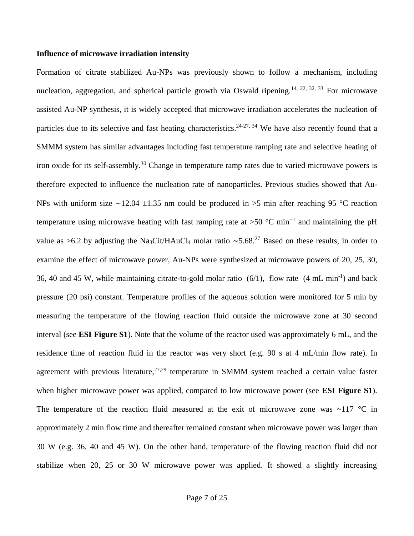#### **Influence of microwave irradiation intensity**

Formation of citrate stabilized Au-NPs was previously shown to follow a mechanism, including nucleation, aggregation, and spherical particle growth via Oswald ripening.<sup>14, 22, 32, 33</sup> For microwave assisted Au-NP synthesis, it is widely accepted that microwave irradiation accelerates the nucleation of particles due to its selective and fast heating characteristics.<sup>24-27, 34</sup> We have also recently found that a SMMM system has similar advantages including fast temperature ramping rate and selective heating of iron oxide for its self-assembly. <sup>30</sup> Change in temperature ramp rates due to varied microwave powers is therefore expected to influence the nucleation rate of nanoparticles. Previous studies showed that Au-NPs with uniform size ∼12.04 ±1.35 nm could be produced in >5 min after reaching 95 °C reaction temperature using microwave heating with fast ramping rate at >50  $^{\circ}$ C min<sup>-1</sup> and maintaining the pH value as >6.2 by adjusting the Na3Cit/HAuCl<sup>4</sup> molar ratio ∼5.68.<sup>27</sup> Based on these results, in order to examine the effect of microwave power, Au-NPs were synthesized at microwave powers of 20, 25, 30, 36, 40 and 45 W, while maintaining citrate-to-gold molar ratio (6/1), flow rate (4 mL min-1 ) and back pressure (20 psi) constant. Temperature profiles of the aqueous solution were monitored for 5 min by measuring the temperature of the flowing reaction fluid outside the microwave zone at 30 second interval (see **ESI Figure S1**). Note that the volume of the reactor used was approximately 6 mL, and the residence time of reaction fluid in the reactor was very short (e.g. 90 s at 4 mL/min flow rate). In agreement with previous literature,  $27.29$  temperature in SMMM system reached a certain value faster when higher microwave power was applied, compared to low microwave power (see **ESI Figure S1**). The temperature of the reaction fluid measured at the exit of microwave zone was  $\sim$ 117 °C in approximately 2 min flow time and thereafter remained constant when microwave power was larger than 30 W (e.g. 36, 40 and 45 W). On the other hand, temperature of the flowing reaction fluid did not stabilize when 20, 25 or 30 W microwave power was applied. It showed a slightly increasing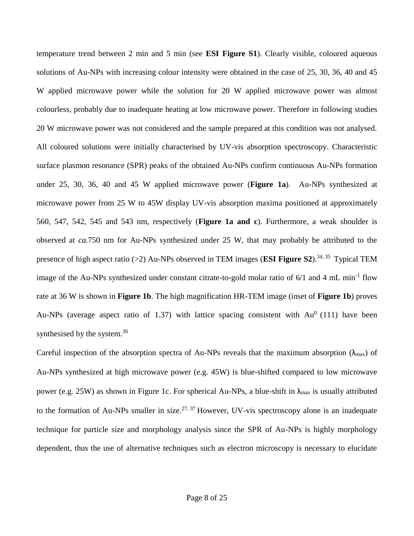temperature trend between 2 min and 5 min (see **ESI Figure S1**). Clearly visible, coloured aqueous solutions of Au-NPs with increasing colour intensity were obtained in the case of 25, 30, 36, 40 and 45 W applied microwave power while the solution for 20 W applied microwave power was almost colourless, probably due to inadequate heating at low microwave power. Therefore in following studies 20 W microwave power was not considered and the sample prepared at this condition was not analysed. All coloured solutions were initially characterised by UV-vis absorption spectroscopy. Characteristic surface plasmon resonance (SPR) peaks of the obtained Au-NPs confirm continuous Au-NPs formation under 25, 30, 36, 40 and 45 W applied microwave power (**Figure 1a**). Au-NPs synthesized at microwave power from 25 W to 45W display UV-vis absorption maxima positioned at approximately 560, 547, 542, 545 and 543 nm, respectively (**Figure 1a and c**). Furthermore, a weak shoulder is observed at *ca.*750 nm for Au-NPs synthesized under 25 W, that may probably be attributed to the presence of high aspect ratio (>2) Au-NPs observed in TEM images (**ESI Figure S2**). 34, 35 Typical TEM image of the Au-NPs synthesized under constant citrate-to-gold molar ratio of 6/1 and 4 mL min<sup>-1</sup> flow rate at 36 W is shown in **Figure 1b**. The high magnification HR-TEM image (inset of **Figure 1b**) proves Au-NPs (average aspect ratio of 1.37) with lattice spacing consistent with  $Au^0$  (111) have been synthesised by the system.<sup>36</sup>

Careful inspection of the absorption spectra of Au-NPs reveals that the maximum absorption ( $\lambda_{\text{max}}$ ) of Au-NPs synthesized at high microwave power (e.g. 45W) is blue-shifted compared to low microwave power (e.g. 25W) as shown in Figure 1c. For spherical Au-NPs, a blue-shift in  $\lambda_{\text{max}}$  is usually attributed to the formation of Au-NPs smaller in size.<sup>27, 37</sup> However, UV-vis spectroscopy alone is an inadequate technique for particle size and morphology analysis since the SPR of Au-NPs is highly morphology dependent, thus the use of alternative techniques such as electron microscopy is necessary to elucidate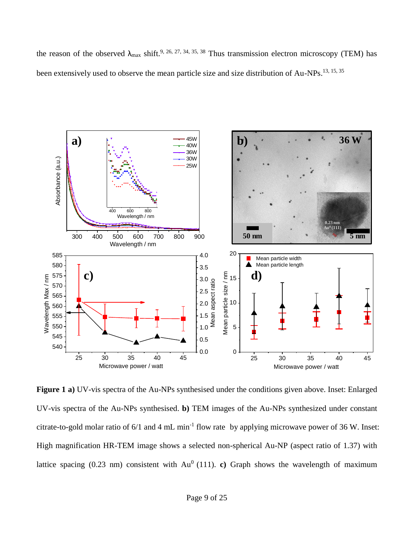the reason of the observed  $\lambda_{\text{max}}$  shift.<sup>9, 26, 27, 34, 35, 38</sup> Thus transmission electron microscopy (TEM) has been extensively used to observe the mean particle size and size distribution of Au-NPs.<sup>13, 15, 35</sup>



**Figure 1 a)** UV-vis spectra of the Au-NPs synthesised under the conditions given above. Inset: Enlarged UV-vis spectra of the Au-NPs synthesised. **b)** TEM images of the Au-NPs synthesized under constant citrate-to-gold molar ratio of 6/1 and 4 mL min-1 flow rateby applying microwave power of 36 W. Inset: High magnification HR-TEM image shows a selected non-spherical Au-NP (aspect ratio of 1.37) with lattice spacing  $(0.23 \text{ nm})$  consistent with Au<sup>0</sup> (111). **c**) Graph shows the wavelength of maximum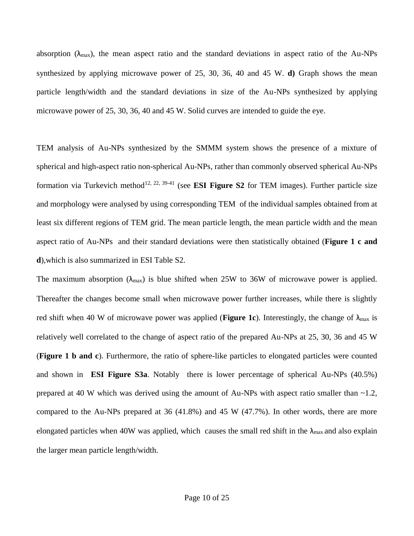absorption  $(\lambda_{max})$ , the mean aspect ratio and the standard deviations in aspect ratio of the Au-NPs synthesized by applying microwave power of 25, 30, 36, 40 and 45 W. **d)** Graph shows the mean particle length/width and the standard deviations in size of the Au-NPs synthesized by applying microwave power of 25, 30, 36, 40 and 45 W. Solid curves are intended to guide the eye.

TEM analysis of Au-NPs synthesized by the SMMM system shows the presence of a mixture of spherical and high-aspect ratio non-spherical Au-NPs, rather than commonly observed spherical Au-NPs formation via Turkevich method<sup>12, 22, 39-41</sup> (see **ESI Figure S2** for TEM images). Further particle size and morphology were analysed by using corresponding TEM of the individual samples obtained from at least six different regions of TEM grid. The mean particle length, the mean particle width and the mean aspect ratio of Au-NPs and their standard deviations were then statistically obtained (**Figure 1 c and d**),which is also summarized in ESI Table S2.

The maximum absorption  $(\lambda_{\text{max}})$  is blue shifted when 25W to 36W of microwave power is applied. Thereafter the changes become small when microwave power further increases, while there is slightly red shift when 40 W of microwave power was applied (**Figure 1c**). Interestingly, the change of  $\lambda_{\text{max}}$  is relatively well correlated to the change of aspect ratio of the prepared Au-NPs at 25, 30, 36 and 45 W (**Figure 1 b and c**). Furthermore, the ratio of sphere-like particles to elongated particles were counted and shown in **ESI Figure S3a**. Notably there is lower percentage of spherical Au-NPs (40.5%) prepared at 40 W which was derived using the amount of Au-NPs with aspect ratio smaller than  $\sim$ 1.2, compared to the Au-NPs prepared at 36 (41.8%) and 45 W (47.7%). In other words, there are more elongated particles when 40W was applied, which causes the small red shift in the  $\lambda_{\text{max}}$  and also explain the larger mean particle length/width.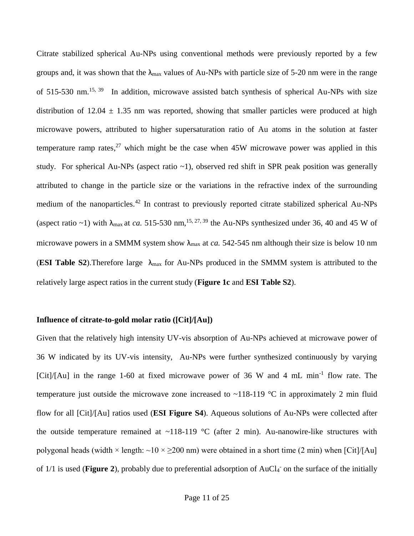Citrate stabilized spherical Au-NPs using conventional methods were previously reported by a few groups and, it was shown that the  $\lambda_{\text{max}}$  values of Au-NPs with particle size of 5-20 nm were in the range of 515-530 nm.<sup>15, 39</sup> In addition, microwave assisted batch synthesis of spherical Au-NPs with size distribution of  $12.04 \pm 1.35$  nm was reported, showing that smaller particles were produced at high microwave powers, attributed to higher supersaturation ratio of Au atoms in the solution at faster temperature ramp rates,<sup>27</sup> which might be the case when  $45W$  microwave power was applied in this study. For spherical Au-NPs (aspect ratio ~1), observed red shift in SPR peak position was generally attributed to change in the particle size or the variations in the refractive index of the surrounding medium of the nanoparticles.<sup>42</sup> In contrast to previously reported citrate stabilized spherical Au-NPs (aspect ratio  $\sim$ 1) with  $\lambda_{\text{max}}$  at *ca.* 515-530 nm,<sup>15, 27, 39</sup> the Au-NPs synthesized under 36, 40 and 45 W of microwave powers in a SMMM system show  $\lambda_{\text{max}}$  at *ca*. 542-545 nm although their size is below 10 nm (**ESI Table S2**).Therefore large λmax for Au-NPs produced in the SMMM system is attributed to the relatively large aspect ratios in the current study (**Figure 1c** and **ESI Table S2**).

#### **Influence of citrate-to-gold molar ratio ([Cit]/[Au])**

Given that the relatively high intensity UV-vis absorption of Au-NPs achieved at microwave power of 36 W indicated by its UV-vis intensity, Au-NPs were further synthesized continuously by varying [Cit]/[Au] in the range 1-60 at fixed microwave power of 36 W and 4 mL min<sup>-1</sup> flow rate. The temperature just outside the microwave zone increased to  $\sim$ 118-119 °C in approximately 2 min fluid flow for all [Cit]/[Au] ratios used (**ESI Figure S4**). Aqueous solutions of Au-NPs were collected after the outside temperature remained at  $\sim$ 118-119 °C (after 2 min). Au-nanowire-like structures with polygonal heads (width  $\times$  length:  $\sim$ 10  $\times$   $\geq$ 200 nm) were obtained in a short time (2 min) when [Cit]/[Au] of 1/1 is used (Figure 2), probably due to preferential adsorption of AuCl<sub>4</sub> on the surface of the initially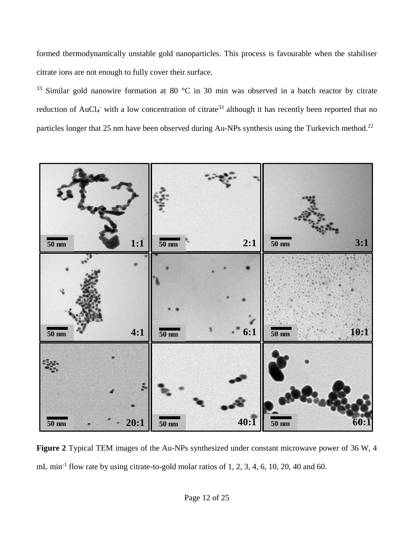formed thermodynamically unstable gold nanoparticles. This process is favourable when the stabiliser citrate ions are not enough to fully cover their surface.

<sup>33</sup> Similar gold nanowire formation at 80  $^{\circ}$ C in 30 min was observed in a batch reactor by citrate reduction of AuCl<sub>4</sub> with a low concentration of citrate<sup>33</sup> although it has recently been reported that no particles longer that 25 nm have been observed during Au-NPs synthesis using the Turkevich method.<sup>22</sup>



**Figure 2** Typical TEM images of the Au-NPs synthesized under constant microwave power of 36 W, 4 mL min<sup>-1</sup> flow rate by using citrate-to-gold molar ratios of  $1, 2, 3, 4, 6, 10, 20, 40$  and 60.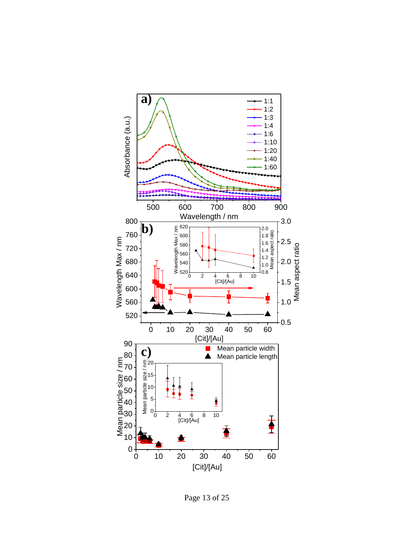

Page 13 of 25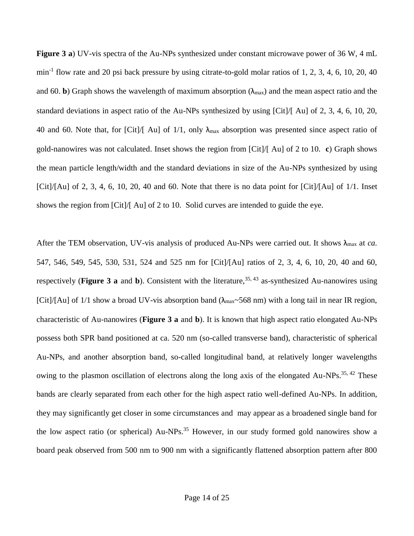**Figure 3 a**) UV-vis spectra of the Au-NPs synthesized under constant microwave power of 36 W, 4 mL min<sup>-1</sup> flow rate and 20 psi back pressure by using citrate-to-gold molar ratios of 1, 2, 3, 4, 6, 10, 20, 40 and 60. **b**) Graph shows the wavelength of maximum absorption  $(\lambda_{\text{max}})$  and the mean aspect ratio and the standard deviations in aspect ratio of the Au-NPs synthesized by using [Cit]/[ Au] of 2, 3, 4, 6, 10, 20, 40 and 60. Note that, for [Cit]/[ Au] of 1/1, only  $\lambda_{\text{max}}$  absorption was presented since aspect ratio of gold-nanowires was not calculated. Inset shows the region from [Cit]/[ Au] of 2 to 10. **c**) Graph shows the mean particle length/width and the standard deviations in size of the Au-NPs synthesized by using  $[Cit]/[Au]$  of 2, 3, 4, 6, 10, 20, 40 and 60. Note that there is no data point for  $[Cit]/[Au]$  of 1/1. Inset shows the region from  $\left[$ Cit $\right]$ / $\left[$  Au $\right]$  of 2 to 10. Solid curves are intended to guide the eye.

After the TEM observation, UV-vis analysis of produced Au-NPs were carried out. It shows  $\lambda_{\text{max}}$  at *ca*. 547, 546, 549, 545, 530, 531, 524 and 525 nm for [Cit]/[Au] ratios of 2, 3, 4, 6, 10, 20, 40 and 60, respectively (**Figure 3 a** and **b**). Consistent with the literature,  $35, 43$  as-synthesized Au-nanowires using [Cit]/[Au] of 1/1 show a broad UV-vis absorption band ( $\lambda_{\text{max}}$ ~568 nm) with a long tail in near IR region, characteristic of Au-nanowires (**Figure 3 a** and **b**). It is known that high aspect ratio elongated Au-NPs possess both SPR band positioned at ca. 520 nm (so-called transverse band), characteristic of spherical Au-NPs, and another absorption band, so-called longitudinal band, at relatively longer wavelengths owing to the plasmon oscillation of electrons along the long axis of the elongated Au-NPs.<sup>35, 42</sup> These bands are clearly separated from each other for the high aspect ratio well-defined Au-NPs. In addition, they may significantly get closer in some circumstances and may appear as a broadened single band for the low aspect ratio (or spherical) Au-NPs.<sup>35</sup> However, in our study formed gold nanowires show a board peak observed from 500 nm to 900 nm with a significantly flattened absorption pattern after 800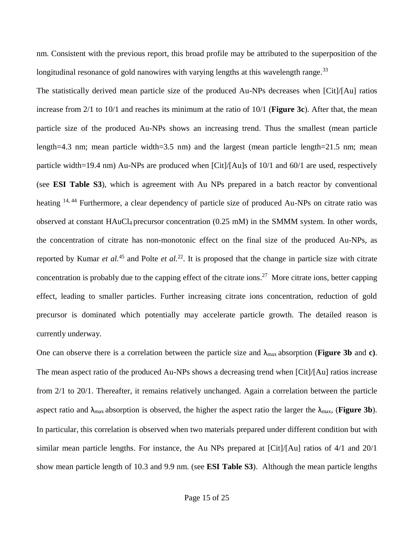nm. Consistent with the previous report, this broad profile may be attributed to the superposition of the longitudinal resonance of gold nanowires with varying lengths at this wavelength range.<sup>33</sup>

The statistically derived mean particle size of the produced Au-NPs decreases when [Cit]/[Au] ratios increase from 2/1 to 10/1 and reaches its minimum at the ratio of 10/1 (**Figure 3c**). After that, the mean particle size of the produced Au-NPs shows an increasing trend. Thus the smallest (mean particle length=4.3 nm; mean particle width=3.5 nm) and the largest (mean particle length=21.5 nm; mean particle width=19.4 nm) Au-NPs are produced when [Cit]/[Au]s of 10/1 and 60/1 are used, respectively (see **ESI Table S3**), which is agreement with Au NPs prepared in a batch reactor by conventional heating <sup>14, 44</sup> Furthermore, a clear dependency of particle size of produced Au-NPs on citrate ratio was observed at constant HAuCl4 precursor concentration (0.25 mM) in the SMMM system. In other words, the concentration of citrate has non-monotonic effect on the final size of the produced Au-NPs, as reported by Kumar *et al.*<sup>45</sup> and Polte *et al.*<sup>22</sup>. It is proposed that the change in particle size with citrate concentration is probably due to the capping effect of the citrate ions.<sup>27</sup> More citrate ions, better capping effect, leading to smaller particles. Further increasing citrate ions concentration, reduction of gold precursor is dominated which potentially may accelerate particle growth. The detailed reason is currently underway.

One can observe there is a correlation between the particle size and  $\lambda_{\text{max}}$  absorption (**Figure 3b** and **c**). The mean aspect ratio of the produced Au-NPs shows a decreasing trend when [Cit]/[Au] ratios increase from 2/1 to 20/1. Thereafter, it remains relatively unchanged. Again a correlation between the particle aspect ratio and  $\lambda_{\text{max}}$  absorption is observed, the higher the aspect ratio the larger the  $\lambda_{\text{max}}$ , (**Figure 3b**). In particular, this correlation is observed when two materials prepared under different condition but with similar mean particle lengths. For instance, the Au NPs prepared at [Cit]/[Au] ratios of 4/1 and 20/1 show mean particle length of 10.3 and 9.9 nm. (see **ESI Table S3**). Although the mean particle lengths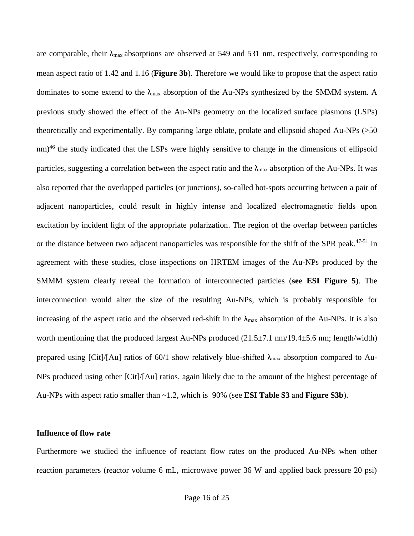are comparable, their  $\lambda_{\text{max}}$  absorptions are observed at 549 and 531 nm, respectively, corresponding to mean aspect ratio of 1.42 and 1.16 (**Figure 3b**). Therefore we would like to propose that the aspect ratio dominates to some extend to the  $\lambda_{\text{max}}$  absorption of the Au-NPs synthesized by the SMMM system. A previous study showed the effect of the Au-NPs geometry on the localized surface plasmons (LSPs) theoretically and experimentally. By comparing large oblate, prolate and ellipsoid shaped Au-NPs (>50 nm)<sup>46</sup> the study indicated that the LSPs were highly sensitive to change in the dimensions of ellipsoid particles, suggesting a correlation between the aspect ratio and the  $\lambda_{\text{max}}$  absorption of the Au-NPs. It was also reported that the overlapped particles (or junctions), so-called hot-spots occurring between a pair of adjacent nanoparticles, could result in highly intense and localized electromagnetic fields upon excitation by incident light of the appropriate polarization. The region of the overlap between particles or the distance between two adjacent nanoparticles was responsible for the shift of the SPR peak.<sup>47-51</sup> In agreement with these studies, close inspections on HRTEM images of the Au-NPs produced by the SMMM system clearly reveal the formation of interconnected particles (**see ESI Figure 5**). The interconnection would alter the size of the resulting Au-NPs, which is probably responsible for increasing of the aspect ratio and the observed red-shift in the  $\lambda_{\text{max}}$  absorption of the Au-NPs. It is also worth mentioning that the produced largest Au-NPs produced  $(21.5\pm7.1 \text{ nm}/19.4\pm5.6 \text{ nm})$  length/width) prepared using [Cit]/[Au] ratios of 60/1 show relatively blue-shifted  $\lambda_{\text{max}}$  absorption compared to Au-NPs produced using other [Cit]/[Au] ratios, again likely due to the amount of the highest percentage of Au-NPs with aspect ratio smaller than ~1.2, which is 90% (see **ESI Table S3** and **Figure S3b**).

#### **Influence of flow rate**

Furthermore we studied the influence of reactant flow rates on the produced Au-NPs when other reaction parameters (reactor volume 6 mL, microwave power 36 W and applied back pressure 20 psi)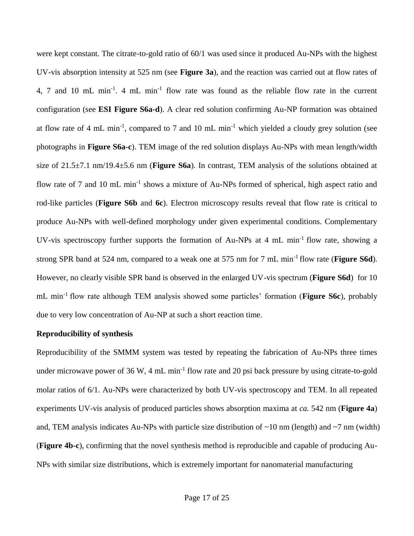were kept constant. The citrate-to-gold ratio of 60/1 was used since it produced Au-NPs with the highest UV-vis absorption intensity at 525 nm (see **Figure 3a**), and the reaction was carried out at flow rates of 4, 7 and 10 mL min<sup>-1</sup>. 4 mL min<sup>-1</sup> flow rate was found as the reliable flow rate in the current configuration (see **ESI Figure S6a-d**). A clear red solution confirming Au-NP formation was obtained at flow rate of 4 mL min<sup>-1</sup>, compared to 7 and 10 mL min<sup>-1</sup> which yielded a cloudy grey solution (see photographs in **Figure S6a-c**). TEM image of the red solution displays Au-NPs with mean length/width size of 21.5±7.1 nm/19.4±5.6 nm (**Figure S6a**). In contrast, TEM analysis of the solutions obtained at flow rate of 7 and 10 mL min<sup>-1</sup> shows a mixture of Au-NPs formed of spherical, high aspect ratio and rod-like particles (**Figure S6b** and **6c**). Electron microscopy results reveal that flow rate is critical to produce Au-NPs with well-defined morphology under given experimental conditions. Complementary UV-vis spectroscopy further supports the formation of Au-NPs at 4 mL min-1 flow rate, showing a strong SPR band at 524 nm, compared to a weak one at 575 nm for 7 mL min-1 flow rate (**Figure S6d**). However, no clearly visible SPR band is observed in the enlarged UV-vis spectrum (**Figure S6d**) for 10 mL min-1 flow rate although TEM analysis showed some particles' formation (**Figure S6c**), probably due to very low concentration of Au-NP at such a short reaction time.

#### **Reproducibility of synthesis**

Reproducibility of the SMMM system was tested by repeating the fabrication of Au-NPs three times under microwave power of 36 W, 4 mL min<sup>-1</sup> flow rate and 20 psi back pressure by using citrate-to-gold molar ratios of 6/1. Au-NPs were characterized by both UV-vis spectroscopy and TEM. In all repeated experiments UV-vis analysis of produced particles shows absorption maxima at *ca.* 542 nm (**Figure 4a**) and, TEM analysis indicates Au-NPs with particle size distribution of  $\sim$ 10 nm (length) and  $\sim$ 7 nm (width) (**Figure 4b-c**), confirming that the novel synthesis method is reproducible and capable of producing Au-NPs with similar size distributions, which is extremely important for nanomaterial manufacturing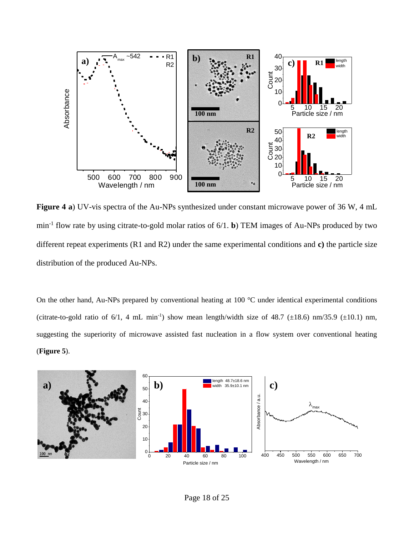

**Figure 4 a**) UV-vis spectra of the Au-NPs synthesized under constant microwave power of 36 W, 4 mL min-1 flow rate by using citrate-to-gold molar ratios of 6/1. **b**) TEM images of Au-NPs produced by two different repeat experiments (R1 and R2) under the same experimental conditions and **c)** the particle size distribution of the produced Au-NPs.

On the other hand, Au-NPs prepared by conventional heating at 100 °C under identical experimental conditions (citrate-to-gold ratio of  $6/1$ , 4 mL min<sup>-1</sup>) show mean length/width size of 48.7 ( $\pm 18.6$ ) nm/35.9 ( $\pm 10.1$ ) nm, suggesting the superiority of microwave assisted fast nucleation in a flow system over conventional heating (**Figure 5**).

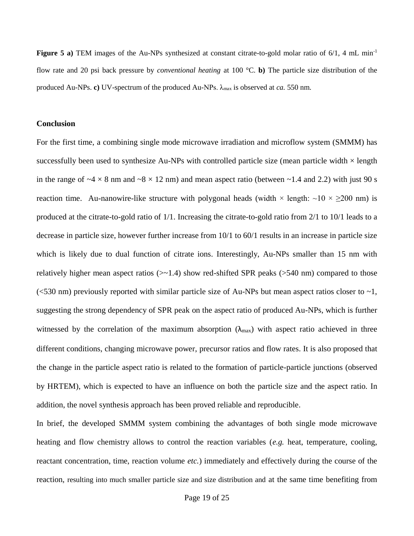**Figure 5 a)** TEM images of the Au-NPs synthesized at constant citrate-to-gold molar ratio of 6/1, 4 mL min<sup>-1</sup> flow rate and 20 psi back pressure by *conventional heating* at 100 °C. **b)** The particle size distribution of the produced Au-NPs. **c)** UV-spectrum of the produced Au-NPs. λmax is observed at *ca.* 550 nm.

#### **Conclusion**

For the first time, a combining single mode microwave irradiation and microflow system (SMMM) has successfully been used to synthesize Au-NPs with controlled particle size (mean particle width  $\times$  length in the range of  $\sim$ 4  $\times$  8 nm and  $\sim$ 8  $\times$  12 nm) and mean aspect ratio (between  $\sim$ 1.4 and 2.2) with just 90 s reaction time. Au-nanowire-like structure with polygonal heads (width  $\times$  length:  $\sim$ 10  $\times$   $\geq$ 200 nm) is produced at the citrate-to-gold ratio of 1/1. Increasing the citrate-to-gold ratio from 2/1 to 10/1 leads to a decrease in particle size, however further increase from 10/1 to 60/1 results in an increase in particle size which is likely due to dual function of citrate ions. Interestingly, Au-NPs smaller than 15 nm with relatively higher mean aspect ratios  $(\geq -1.4)$  show red-shifted SPR peaks ( $>540$  nm) compared to those  $\approx$  1.530 nm) previously reported with similar particle size of Au-NPs but mean aspect ratios closer to  $\sim$  1, suggesting the strong dependency of SPR peak on the aspect ratio of produced Au-NPs, which is further witnessed by the correlation of the maximum absorption  $(\lambda_{max})$  with aspect ratio achieved in three different conditions, changing microwave power, precursor ratios and flow rates. It is also proposed that the change in the particle aspect ratio is related to the formation of particle-particle junctions (observed by HRTEM), which is expected to have an influence on both the particle size and the aspect ratio. In addition, the novel synthesis approach has been proved reliable and reproducible.

In brief, the developed SMMM system combining the advantages of both single mode microwave heating and flow chemistry allows to control the reaction variables (*e.g.* heat, temperature, cooling, reactant concentration, time, reaction volume *etc.*) immediately and effectively during the course of the reaction, resulting into much smaller particle size and size distribution and at the same time benefiting from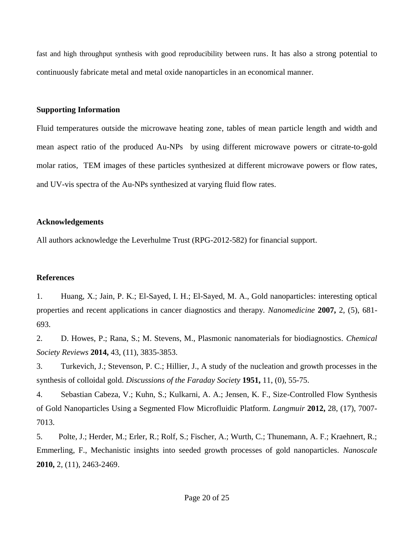fast and high throughput synthesis with good reproducibility between runs. It has also a strong potential to continuously fabricate metal and metal oxide nanoparticles in an economical manner.

#### **Supporting Information**

Fluid temperatures outside the microwave heating zone, tables of mean particle length and width and mean aspect ratio of the produced Au-NPs by using different microwave powers or citrate-to-gold molar ratios, TEM images of these particles synthesized at different microwave powers or flow rates, and UV-vis spectra of the Au-NPs synthesized at varying fluid flow rates.

#### **Acknowledgements**

All authors acknowledge the Leverhulme Trust (RPG-2012-582) for financial support.

#### **References**

1. Huang, X.; Jain, P. K.; El-Sayed, I. H.; El-Sayed, M. A., Gold nanoparticles: interesting optical properties and recent applications in cancer diagnostics and therapy. *Nanomedicine* **2007,** 2, (5), 681- 693.

2. D. Howes, P.; Rana, S.; M. Stevens, M., Plasmonic nanomaterials for biodiagnostics. *Chemical Society Reviews* **2014,** 43, (11), 3835-3853.

3. Turkevich, J.; Stevenson, P. C.; Hillier, J., A study of the nucleation and growth processes in the synthesis of colloidal gold. *Discussions of the Faraday Society* **1951,** 11, (0), 55-75.

4. Sebastian Cabeza, V.; Kuhn, S.; Kulkarni, A. A.; Jensen, K. F., Size-Controlled Flow Synthesis of Gold Nanoparticles Using a Segmented Flow Microfluidic Platform. *Langmuir* **2012,** 28, (17), 7007- 7013.

5. Polte, J.; Herder, M.; Erler, R.; Rolf, S.; Fischer, A.; Wurth, C.; Thunemann, A. F.; Kraehnert, R.; Emmerling, F., Mechanistic insights into seeded growth processes of gold nanoparticles. *Nanoscale*  **2010,** 2, (11), 2463-2469.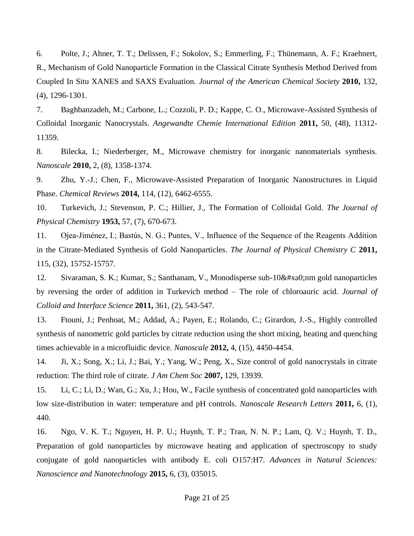6. Polte, J.; Ahner, T. T.; Delissen, F.; Sokolov, S.; Emmerling, F.; Thünemann, A. F.; Kraehnert, R., Mechanism of Gold Nanoparticle Formation in the Classical Citrate Synthesis Method Derived from Coupled In Situ XANES and SAXS Evaluation. *Journal of the American Chemical Society* **2010,** 132, (4), 1296-1301.

7. Baghbanzadeh, M.; Carbone, L.; Cozzoli, P. D.; Kappe, C. O., Microwave-Assisted Synthesis of Colloidal Inorganic Nanocrystals. *Angewandte Chemie International Edition* **2011,** 50, (48), 11312- 11359.

8. Bilecka, I.; Niederberger, M., Microwave chemistry for inorganic nanomaterials synthesis. *Nanoscale* **2010,** 2, (8), 1358-1374.

9. Zhu, Y.-J.; Chen, F., Microwave-Assisted Preparation of Inorganic Nanostructures in Liquid Phase. *Chemical Reviews* **2014,** 114, (12), 6462-6555.

10. Turkevich, J.; Stevenson, P. C.; Hillier, J., The Formation of Colloidal Gold. *The Journal of Physical Chemistry* **1953,** 57, (7), 670-673.

11. Ojea-Jiménez, I.; Bastús, N. G.; Puntes, V., Influence of the Sequence of the Reagents Addition in the Citrate-Mediated Synthesis of Gold Nanoparticles. *The Journal of Physical Chemistry C* **2011,** 115, (32), 15752-15757.

12. Sivaraman, S. K.; Kumar, S.; Santhanam, V., Monodisperse sub-10 & #xa0; nm gold nanoparticles by reversing the order of addition in Turkevich method – The role of chloroauric acid. *Journal of Colloid and Interface Science* **2011,** 361, (2), 543-547.

13. Ftouni, J.; Penhoat, M.; Addad, A.; Payen, E.; Rolando, C.; Girardon, J.-S., Highly controlled synthesis of nanometric gold particles by citrate reduction using the short mixing, heating and quenching times achievable in a microfluidic device. *Nanoscale* **2012,** 4, (15), 4450-4454.

14. Ji, X.; Song, X.; Li, J.; Bai, Y.; Yang, W.; Peng, X., Size control of gold nanocrystals in citrate reduction: The third role of citrate. *J Am Chem Soc* **2007,** 129, 13939.

15. Li, C.; Li, D.; Wan, G.; Xu, J.; Hou, W., Facile synthesis of concentrated gold nanoparticles with low size-distribution in water: temperature and pH controls. *Nanoscale Research Letters* **2011,** 6, (1), 440.

16. Ngo, V. K. T.; Nguyen, H. P. U.; Huynh, T. P.; Tran, N. N. P.; Lam, Q. V.; Huynh, T. D., Preparation of gold nanoparticles by microwave heating and application of spectroscopy to study conjugate of gold nanoparticles with antibody E. coli O157:H7. *Advances in Natural Sciences: Nanoscience and Nanotechnology* **2015,** 6, (3), 035015.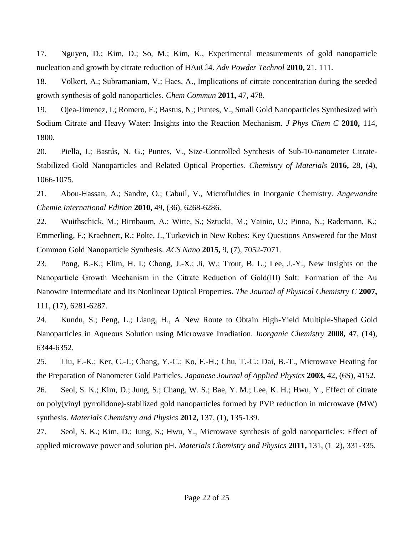17. Nguyen, D.; Kim, D.; So, M.; Kim, K., Experimental measurements of gold nanoparticle nucleation and growth by citrate reduction of HAuCl4. *Adv Powder Technol* **2010,** 21, 111.

18. Volkert, A.; Subramaniam, V.; Haes, A., Implications of citrate concentration during the seeded growth synthesis of gold nanoparticles. *Chem Commun* **2011,** 47, 478.

19. Ojea-Jimenez, I.; Romero, F.; Bastus, N.; Puntes, V., Small Gold Nanoparticles Synthesized with Sodium Citrate and Heavy Water: Insights into the Reaction Mechanism. *J Phys Chem C* **2010,** 114, 1800.

20. Piella, J.; Bastús, N. G.; Puntes, V., Size-Controlled Synthesis of Sub-10-nanometer Citrate-Stabilized Gold Nanoparticles and Related Optical Properties. *Chemistry of Materials* **2016,** 28, (4), 1066-1075.

21. Abou-Hassan, A.; Sandre, O.; Cabuil, V., Microfluidics in Inorganic Chemistry. *Angewandte Chemie International Edition* **2010,** 49, (36), 6268-6286.

22. Wuithschick, M.; Birnbaum, A.; Witte, S.; Sztucki, M.; Vainio, U.; Pinna, N.; Rademann, K.; Emmerling, F.; Kraehnert, R.; Polte, J., Turkevich in New Robes: Key Questions Answered for the Most Common Gold Nanoparticle Synthesis. *ACS Nano* **2015,** 9, (7), 7052-7071.

23. Pong, B.-K.; Elim, H. I.; Chong, J.-X.; Ji, W.; Trout, B. L.; Lee, J.-Y., New Insights on the Nanoparticle Growth Mechanism in the Citrate Reduction of Gold(III) Salt:  Formation of the Au Nanowire Intermediate and Its Nonlinear Optical Properties. *The Journal of Physical Chemistry C* **2007,** 111, (17), 6281-6287.

24. Kundu, S.; Peng, L.; Liang, H., A New Route to Obtain High-Yield Multiple-Shaped Gold Nanoparticles in Aqueous Solution using Microwave Irradiation. *Inorganic Chemistry* **2008,** 47, (14), 6344-6352.

25. Liu, F.-K.; Ker, C.-J.; Chang, Y.-C.; Ko, F.-H.; Chu, T.-C.; Dai, B.-T., Microwave Heating for the Preparation of Nanometer Gold Particles. *Japanese Journal of Applied Physics* **2003,** 42, (6S), 4152.

26. Seol, S. K.; Kim, D.; Jung, S.; Chang, W. S.; Bae, Y. M.; Lee, K. H.; Hwu, Y., Effect of citrate on poly(vinyl pyrrolidone)-stabilized gold nanoparticles formed by PVP reduction in microwave (MW) synthesis. *Materials Chemistry and Physics* **2012,** 137, (1), 135-139.

27. Seol, S. K.; Kim, D.; Jung, S.; Hwu, Y., Microwave synthesis of gold nanoparticles: Effect of applied microwave power and solution pH. *Materials Chemistry and Physics* **2011,** 131, (1–2), 331-335.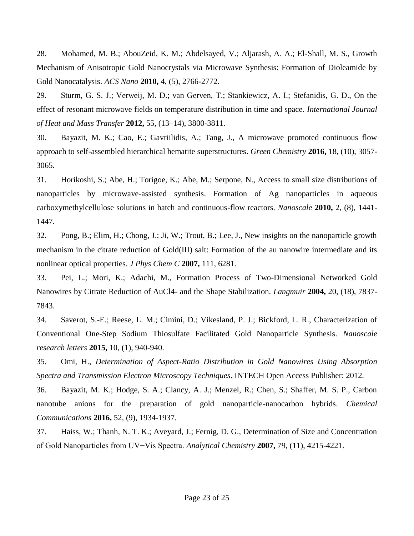28. Mohamed, M. B.; AbouZeid, K. M.; Abdelsayed, V.; Aljarash, A. A.; El-Shall, M. S., Growth Mechanism of Anisotropic Gold Nanocrystals via Microwave Synthesis: Formation of Dioleamide by Gold Nanocatalysis. *ACS Nano* **2010,** 4, (5), 2766-2772.

29. Sturm, G. S. J.; Verweij, M. D.; van Gerven, T.; Stankiewicz, A. I.; Stefanidis, G. D., On the effect of resonant microwave fields on temperature distribution in time and space. *International Journal of Heat and Mass Transfer* **2012,** 55, (13–14), 3800-3811.

30. Bayazit, M. K.; Cao, E.; Gavriilidis, A.; Tang, J., A microwave promoted continuous flow approach to self-assembled hierarchical hematite superstructures. *Green Chemistry* **2016,** 18, (10), 3057- 3065.

31. Horikoshi, S.; Abe, H.; Torigoe, K.; Abe, M.; Serpone, N., Access to small size distributions of nanoparticles by microwave-assisted synthesis. Formation of Ag nanoparticles in aqueous carboxymethylcellulose solutions in batch and continuous-flow reactors. *Nanoscale* **2010,** 2, (8), 1441- 1447.

32. Pong, B.; Elim, H.; Chong, J.; Ji, W.; Trout, B.; Lee, J., New insights on the nanoparticle growth mechanism in the citrate reduction of Gold(III) salt: Formation of the au nanowire intermediate and its nonlinear optical properties. *J Phys Chem C* **2007,** 111, 6281.

33. Pei, L.; Mori, K.; Adachi, M., Formation Process of Two-Dimensional Networked Gold Nanowires by Citrate Reduction of AuCl4- and the Shape Stabilization. *Langmuir* **2004,** 20, (18), 7837- 7843.

34. Saverot, S.-E.; Reese, L. M.; Cimini, D.; Vikesland, P. J.; Bickford, L. R., Characterization of Conventional One-Step Sodium Thiosulfate Facilitated Gold Nanoparticle Synthesis. *Nanoscale research letters* **2015,** 10, (1), 940-940.

35. Omi, H., *Determination of Aspect-Ratio Distribution in Gold Nanowires Using Absorption Spectra and Transmission Electron Microscopy Techniques*. INTECH Open Access Publisher: 2012.

36. Bayazit, M. K.; Hodge, S. A.; Clancy, A. J.; Menzel, R.; Chen, S.; Shaffer, M. S. P., Carbon nanotube anions for the preparation of gold nanoparticle-nanocarbon hybrids. *Chemical Communications* **2016,** 52, (9), 1934-1937.

37. Haiss, W.; Thanh, N. T. K.; Aveyard, J.; Fernig, D. G., Determination of Size and Concentration of Gold Nanoparticles from UV−Vis Spectra. *Analytical Chemistry* **2007,** 79, (11), 4215-4221.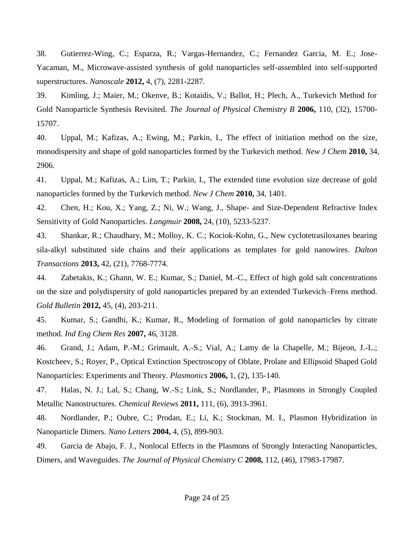38. Gutierrez-Wing, C.; Esparza, R.; Vargas-Hernandez, C.; Fernandez Garcia, M. E.; Jose-Yacaman, M., Microwave-assisted synthesis of gold nanoparticles self-assembled into self-supported superstructures. *Nanoscale* **2012,** 4, (7), 2281-2287.

39. Kimling, J.; Maier, M.; Okenve, B.; Kotaidis, V.; Ballot, H.; Plech, A., Turkevich Method for Gold Nanoparticle Synthesis Revisited. *The Journal of Physical Chemistry B* **2006,** 110, (32), 15700- 15707.

40. Uppal, M.; Kafizas, A.; Ewing, M.; Parkin, I., The effect of initiation method on the size, monodispersity and shape of gold nanoparticles formed by the Turkevich method. *New J Chem* **2010,** 34, 2906.

41. Uppal, M.; Kafizas, A.; Lim, T.; Parkin, I., The extended time evolution size decrease of gold nanoparticles formed by the Turkevich method. *New J Chem* **2010,** 34, 1401.

42. Chen, H.; Kou, X.; Yang, Z.; Ni, W.; Wang, J., Shape- and Size-Dependent Refractive Index Sensitivity of Gold Nanoparticles. *Langmuir* **2008,** 24, (10), 5233-5237.

43. Shankar, R.; Chaudhary, M.; Molloy, K. C.; Kociok-Kohn, G., New cyclotetrasiloxanes bearing sila-alkyl substituted side chains and their applications as templates for gold nanowires. *Dalton Transactions* **2013,** 42, (21), 7768-7774.

44. Zabetakis, K.; Ghann, W. E.; Kumar, S.; Daniel, M.-C., Effect of high gold salt concentrations on the size and polydispersity of gold nanoparticles prepared by an extended Turkevich–Frens method. *Gold Bulletin* **2012,** 45, (4), 203-211.

45. Kumar, S.; Gandhi, K.; Kumar, R., Modeling of formation of gold nanoparticles by citrate method. *Ind Eng Chem Res* **2007,** 46, 3128.

46. Grand, J.; Adam, P.-M.; Grimault, A.-S.; Vial, A.; Lamy de la Chapelle, M.; Bijeon, J.-L.; Kostcheev, S.; Royer, P., Optical Extinction Spectroscopy of Oblate, Prolate and Ellipsoid Shaped Gold Nanoparticles: Experiments and Theory. *Plasmonics* **2006,** 1, (2), 135-140.

47. Halas, N. J.; Lal, S.; Chang, W.-S.; Link, S.; Nordlander, P., Plasmons in Strongly Coupled Metallic Nanostructures. *Chemical Reviews* **2011,** 111, (6), 3913-3961.

48. Nordlander, P.; Oubre, C.; Prodan, E.; Li, K.; Stockman, M. I., Plasmon Hybridization in Nanoparticle Dimers. *Nano Letters* **2004,** 4, (5), 899-903.

49. Garcia de Abajo, F. J., Nonlocal Effects in the Plasmons of Strongly Interacting Nanoparticles, Dimers, and Waveguides. *The Journal of Physical Chemistry C* **2008,** 112, (46), 17983-17987.